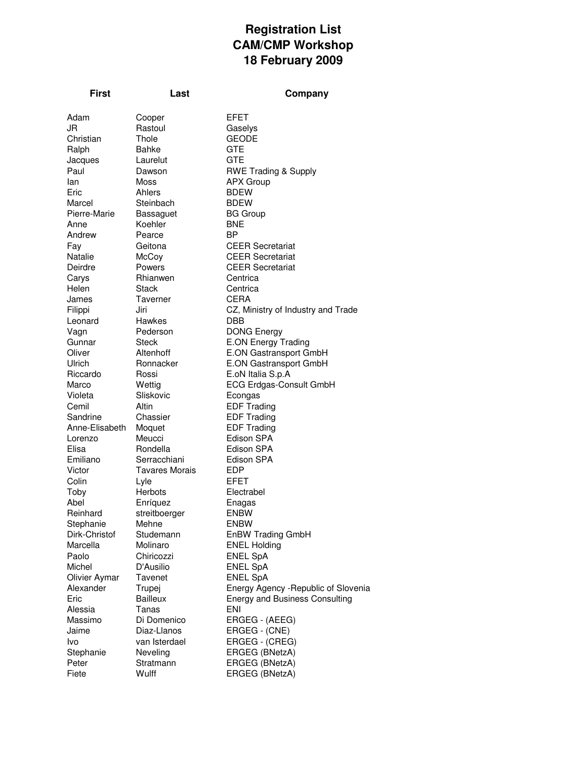## **Registration List CAM/CMP Workshop 18 February 2009**

| First          | Last                  | Company                               |
|----------------|-----------------------|---------------------------------------|
| Adam           |                       | EFET                                  |
| JR             | Cooper<br>Rastoul     | Gaselys                               |
| Christian      | Thole                 | <b>GEODE</b>                          |
| Ralph          | Bahke                 | <b>GTE</b>                            |
| Jacques        | Laurelut              | <b>GTE</b>                            |
| Paul           | Dawson                | <b>RWE Trading &amp; Supply</b>       |
| lan            | Moss                  | <b>APX Group</b>                      |
| Eric           | Ahlers                | <b>BDEW</b>                           |
| Marcel         | Steinbach             | <b>BDEW</b>                           |
| Pierre-Marie   | Bassaguet             | <b>BG Group</b>                       |
| Anne           | Koehler               | <b>BNE</b>                            |
| Andrew         | Pearce                | ΒP                                    |
| Fay            | Geitona               | <b>CEER Secretariat</b>               |
| Natalie        | McCoy                 | <b>CEER Secretariat</b>               |
| Deirdre        | Powers                | <b>CEER Secretariat</b>               |
| Carys          | Rhianwen              | Centrica                              |
| Helen          | Stack                 | Centrica                              |
| James          | Taverner              | <b>CERA</b>                           |
| Filippi        | Jiri                  | CZ, Ministry of Industry and Trade    |
| Leonard        | Hawkes                | DBB                                   |
| Vagn           | Pederson              | <b>DONG Energy</b>                    |
| Gunnar         | Steck                 | <b>E.ON Energy Trading</b>            |
| Oliver         | Altenhoff             | E.ON Gastransport GmbH                |
| Ulrich         | Ronnacker             | E.ON Gastransport GmbH                |
| Riccardo       | Rossi                 | E.oN Italia S.p.A                     |
| Marco          | Wettig                | <b>ECG Erdgas-Consult GmbH</b>        |
| Violeta        | Sliskovic             | Econgas                               |
| Cemil          | Altin                 | <b>EDF Trading</b>                    |
| Sandrine       | Chassier              | <b>EDF Trading</b>                    |
| Anne-Elisabeth | Moquet                | <b>EDF Trading</b>                    |
| Lorenzo        | Meucci                | Edison SPA                            |
| Elisa          | Rondella              | Edison SPA                            |
| Emiliano       | Serracchiani          | Edison SPA                            |
| Victor         | <b>Tavares Morais</b> | <b>EDP</b>                            |
| Colin          | Lyle<br>Herbots       | EFET<br>Electrabel                    |
| Toby<br>Abel   | Enríquez              | Enagas                                |
| Reinhard       | streitboerger         | <b>ENBW</b>                           |
| Stephanie      | Mehne                 | <b>ENBW</b>                           |
| Dirk-Christof  | Studemann             | <b>EnBW Trading GmbH</b>              |
| Marcella       | Molinaro              | <b>ENEL Holding</b>                   |
| Paolo          | Chiricozzi            | <b>ENEL SpA</b>                       |
| Michel         | D'Ausilio             | <b>ENEL SpA</b>                       |
| Olivier Aymar  | <b>Tavenet</b>        | <b>ENEL SpA</b>                       |
| Alexander      | Trupej                | Energy Agency - Republic of Slovenia  |
| Eric           | <b>Bailleux</b>       | <b>Energy and Business Consulting</b> |
| Alessia        | Tanas                 | ENI                                   |
| Massimo        | Di Domenico           | ERGEG - (AEEG)                        |
| Jaime          | Diaz-Llanos           | ERGEG - (CNE)                         |
| Ivo            | van Isterdael         | ERGEG - (CREG)                        |
| Stephanie      | Neveling              | ERGEG (BNetzA)                        |
| Peter          | Stratmann             | ERGEG (BNetzA)                        |
| Fiete          | Wulff                 | ERGEG (BNetzA)                        |